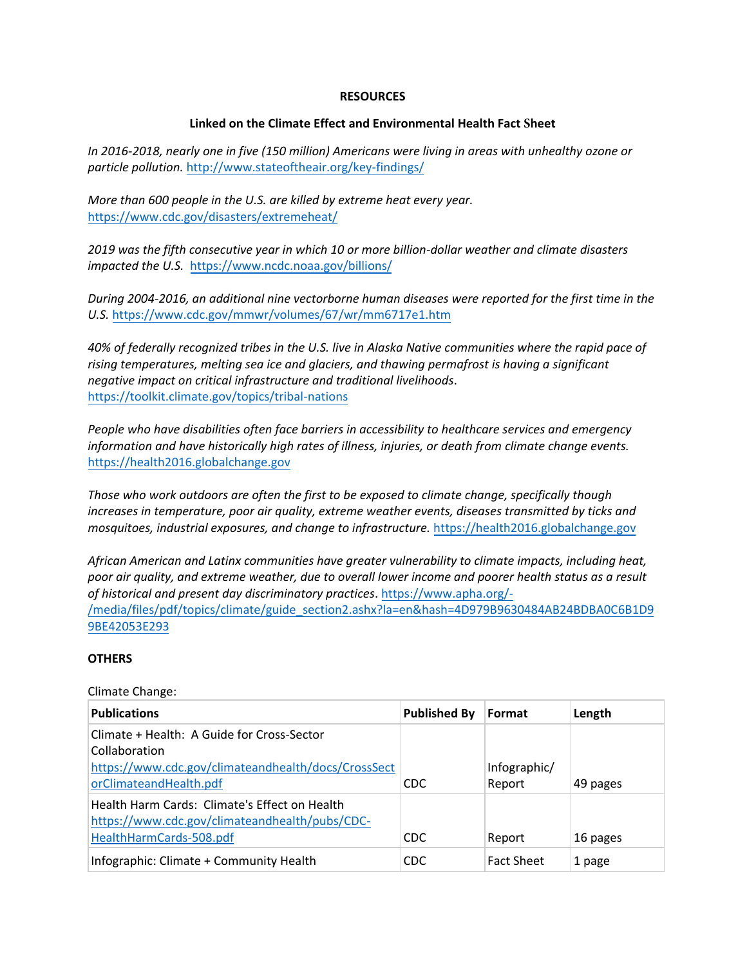## **RESOURCES**

## **Linked on the Climate Effect and Environmental Health Fact Sheet**

*In 2016-2018, nearly one in five (150 million) Americans were living in areas with unhealthy ozone or particle pollution.* <http://www.stateoftheair.org/key-findings/>

*More than 600 people in the U.S. are killed by extreme heat every year.* <https://www.cdc.gov/disasters/extremeheat/>

*2019 was the fifth consecutive year in which 10 or more billion-dollar weather and climate disasters impacted the U.S.* <https://www.ncdc.noaa.gov/billions/>

*During 2004-2016, an additional nine vectorborne human diseases were reported for the first time in the U.S.* <https://www.cdc.gov/mmwr/volumes/67/wr/mm6717e1.htm>

*40% of federally recognized tribes in the U.S. live in Alaska Native communities where the rapid pace of rising temperatures, melting sea ice and glaciers, and thawing permafrost is having a significant negative impact on critical infrastructure and traditional livelihoods*. <https://toolkit.climate.gov/topics/tribal-nations>

*People who have disabilities often face barriers in accessibility to healthcare services and emergency information and have historically high rates of illness, injuries, or death from climate change events.*  [https://health2016.globalchange.gov](https://health2016.globalchange.gov/)

*Those who work outdoors are often the first to be exposed to climate change, specifically though increases in temperature, poor air quality, extreme weather events, diseases transmitted by ticks and mosquitoes, industrial exposures, and change to infrastructure.* [https://health2016.globalchange.gov](https://health2016.globalchange.gov/)

*African American and Latinx communities have greater vulnerability to climate impacts, including heat, poor air quality, and extreme weather, due to overall lower income and poorer health status as a result of historical and present day discriminatory practices*[. https://www.apha.org/-](https://www.apha.org/-/media/files/pdf/topics/climate/guide_section2.ashx?la=en&hash=4D979B9630484AB24BDBA0C6B1D99BE42053E293) [/media/files/pdf/topics/climate/guide\\_section2.ashx?la=en&hash=4D979B9630484AB24BDBA0C6B1D9](https://www.apha.org/-/media/files/pdf/topics/climate/guide_section2.ashx?la=en&hash=4D979B9630484AB24BDBA0C6B1D99BE42053E293) [9BE42053E293](https://www.apha.org/-/media/files/pdf/topics/climate/guide_section2.ashx?la=en&hash=4D979B9630484AB24BDBA0C6B1D99BE42053E293) 

#### **OTHERS**

#### Climate Change:

| <b>Publications</b>                                                                                                        | <b>Published By</b> | Format                 | Length   |
|----------------------------------------------------------------------------------------------------------------------------|---------------------|------------------------|----------|
| Climate + Health: A Guide for Cross-Sector<br>Collaboration                                                                |                     |                        |          |
| https://www.cdc.gov/climateandhealth/docs/CrossSect<br>orClimateandHealth.pdf                                              | <b>CDC</b>          | Infographic/<br>Report | 49 pages |
| Health Harm Cards: Climate's Effect on Health<br>https://www.cdc.gov/climateandhealth/pubs/CDC-<br>HealthHarmCards-508.pdf | <b>CDC</b>          | Report                 | 16 pages |
| Infographic: Climate + Community Health                                                                                    | CDC                 | <b>Fact Sheet</b>      | 1 page   |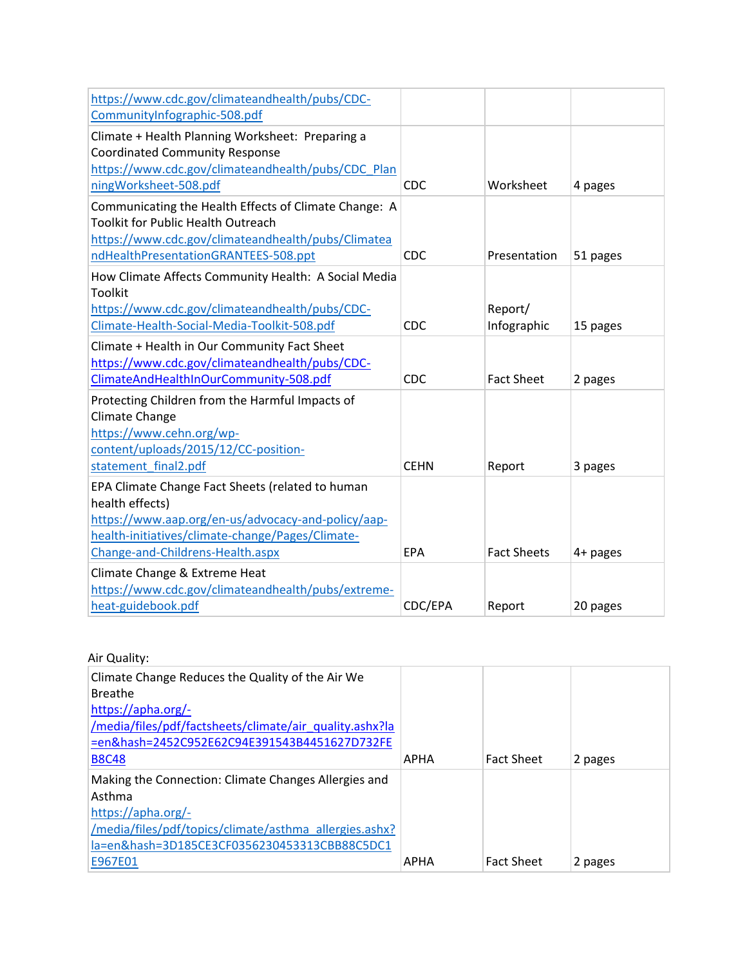| https://www.cdc.gov/climateandhealth/pubs/CDC-        |             |                    |          |
|-------------------------------------------------------|-------------|--------------------|----------|
| CommunityInfographic-508.pdf                          |             |                    |          |
| Climate + Health Planning Worksheet: Preparing a      |             |                    |          |
| <b>Coordinated Community Response</b>                 |             |                    |          |
| https://www.cdc.gov/climateandhealth/pubs/CDC_Plan    |             |                    |          |
| ningWorksheet-508.pdf                                 | <b>CDC</b>  | Worksheet          | 4 pages  |
| Communicating the Health Effects of Climate Change: A |             |                    |          |
| <b>Toolkit for Public Health Outreach</b>             |             |                    |          |
| https://www.cdc.gov/climateandhealth/pubs/Climatea    |             |                    |          |
| ndHealthPresentationGRANTEES-508.ppt                  | <b>CDC</b>  | Presentation       | 51 pages |
| How Climate Affects Community Health: A Social Media  |             |                    |          |
| <b>Toolkit</b>                                        |             |                    |          |
| https://www.cdc.gov/climateandhealth/pubs/CDC-        |             | Report/            |          |
| Climate-Health-Social-Media-Toolkit-508.pdf           | <b>CDC</b>  | Infographic        | 15 pages |
| Climate + Health in Our Community Fact Sheet          |             |                    |          |
| https://www.cdc.gov/climateandhealth/pubs/CDC-        |             |                    |          |
| ClimateAndHealthInOurCommunity-508.pdf                | <b>CDC</b>  | <b>Fact Sheet</b>  | 2 pages  |
| Protecting Children from the Harmful Impacts of       |             |                    |          |
| Climate Change                                        |             |                    |          |
| https://www.cehn.org/wp-                              |             |                    |          |
| content/uploads/2015/12/CC-position-                  |             |                    |          |
| statement final2.pdf                                  | <b>CEHN</b> | Report             | 3 pages  |
| EPA Climate Change Fact Sheets (related to human      |             |                    |          |
| health effects)                                       |             |                    |          |
| https://www.aap.org/en-us/advocacy-and-policy/aap-    |             |                    |          |
| health-initiatives/climate-change/Pages/Climate-      |             |                    |          |
| Change-and-Childrens-Health.aspx                      | <b>EPA</b>  | <b>Fact Sheets</b> | 4+ pages |
| Climate Change & Extreme Heat                         |             |                    |          |
| https://www.cdc.gov/climateandhealth/pubs/extreme-    |             |                    |          |
| heat-guidebook.pdf                                    | CDC/EPA     | Report             | 20 pages |

| Air Quality:                                            |             |                   |         |
|---------------------------------------------------------|-------------|-------------------|---------|
| Climate Change Reduces the Quality of the Air We        |             |                   |         |
| <b>Breathe</b>                                          |             |                   |         |
| https://apha.org/-                                      |             |                   |         |
| /media/files/pdf/factsheets/climate/air quality.ashx?la |             |                   |         |
| =en&hash=2452C952E62C94E391543B4451627D732FE            |             |                   |         |
| <b>B8C48</b>                                            | <b>APHA</b> | <b>Fact Sheet</b> | 2 pages |
| Making the Connection: Climate Changes Allergies and    |             |                   |         |
| Asthma                                                  |             |                   |         |
| https://apha.org/-                                      |             |                   |         |
| /media/files/pdf/topics/climate/asthma allergies.ashx?  |             |                   |         |
| la=en&hash=3D185CE3CF0356230453313CBB88C5DC1            |             |                   |         |
| E967E01                                                 | APHA        | <b>Fact Sheet</b> | 2 pages |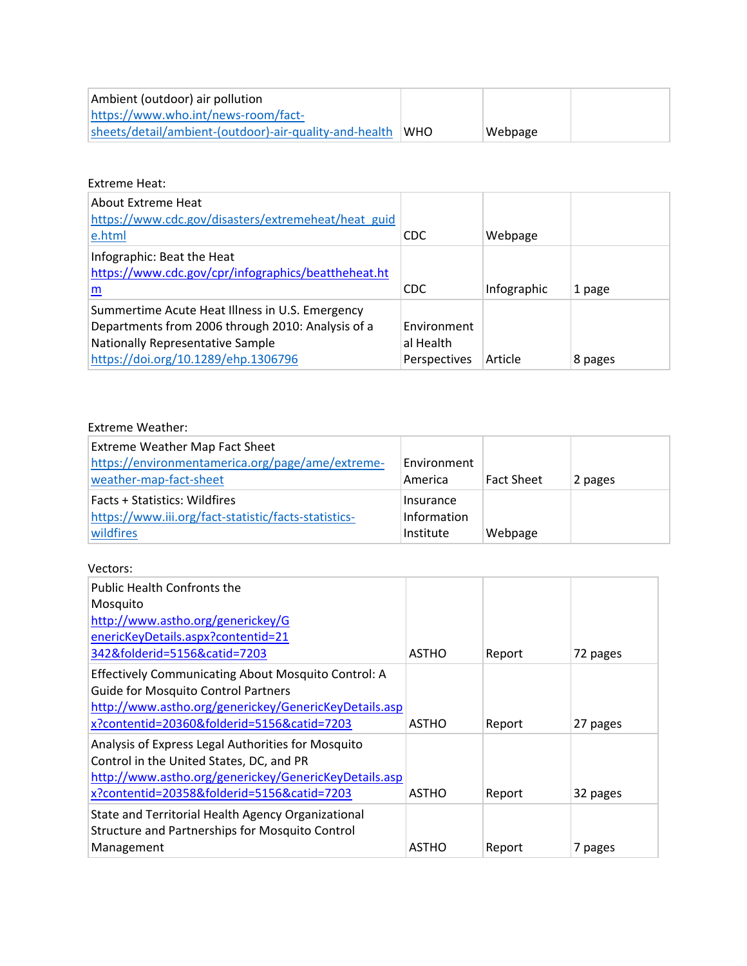| Ambient (outdoor) air pollution                        |            |         |  |
|--------------------------------------------------------|------------|---------|--|
| https://www.who.int/news-room/fact-                    |            |         |  |
| sheets/detail/ambient-(outdoor)-air-quality-and-health | <b>WHO</b> | Webpage |  |

# Extreme Heat:

| About Extreme Heat<br>https://www.cdc.gov/disasters/extremeheat/heat guid<br>e.html                                                                                                    | <b>CDC</b>                               | Webpage     |         |
|----------------------------------------------------------------------------------------------------------------------------------------------------------------------------------------|------------------------------------------|-------------|---------|
| Infographic: Beat the Heat<br>https://www.cdc.gov/cpr/infographics/beattheheat.ht<br>m                                                                                                 | <b>CDC</b>                               | Infographic | 1 page  |
| Summertime Acute Heat Illness in U.S. Emergency<br>Departments from 2006 through 2010: Analysis of a<br><b>Nationally Representative Sample</b><br>https://doi.org/10.1289/ehp.1306796 | Environment<br>al Health<br>Perspectives | Article     | 8 pages |

# Extreme Weather:

| <b>Extreme Weather Map Fact Sheet</b><br>https://environmentamerica.org/page/ame/extreme-<br>weather-map-fact-sheet | Environment<br>America                | Fact Sheet | 2 pages |
|---------------------------------------------------------------------------------------------------------------------|---------------------------------------|------------|---------|
| <b>Facts + Statistics: Wildfires</b><br>https://www.iii.org/fact-statistic/facts-statistics-<br>wildfires           | Insurance<br>Information<br>Institute | Webpage    |         |

#### Vectors:

| <b>Public Health Confronts the</b><br>Mosquito<br>http://www.astho.org/generickey/G<br>enericKeyDetails.aspx?contentid=21<br>342&folderid=5156&catid=7203                                                | ASTHO | Report | 72 pages |
|----------------------------------------------------------------------------------------------------------------------------------------------------------------------------------------------------------|-------|--------|----------|
| Effectively Communicating About Mosquito Control: A<br><b>Guide for Mosquito Control Partners</b><br>http://www.astho.org/generickey/GenericKeyDetails.asp<br>x?contentid=20360&folderid=5156&catid=7203 | ASTHO | Report | 27 pages |
| Analysis of Express Legal Authorities for Mosquito<br>Control in the United States, DC, and PR<br>http://www.astho.org/generickey/GenericKeyDetails.asp<br>x?contentid=20358&folderid=5156&catid=7203    | ASTHO | Report | 32 pages |
| State and Territorial Health Agency Organizational<br>Structure and Partnerships for Mosquito Control<br>Management                                                                                      | ASTHO | Report | 7 pages  |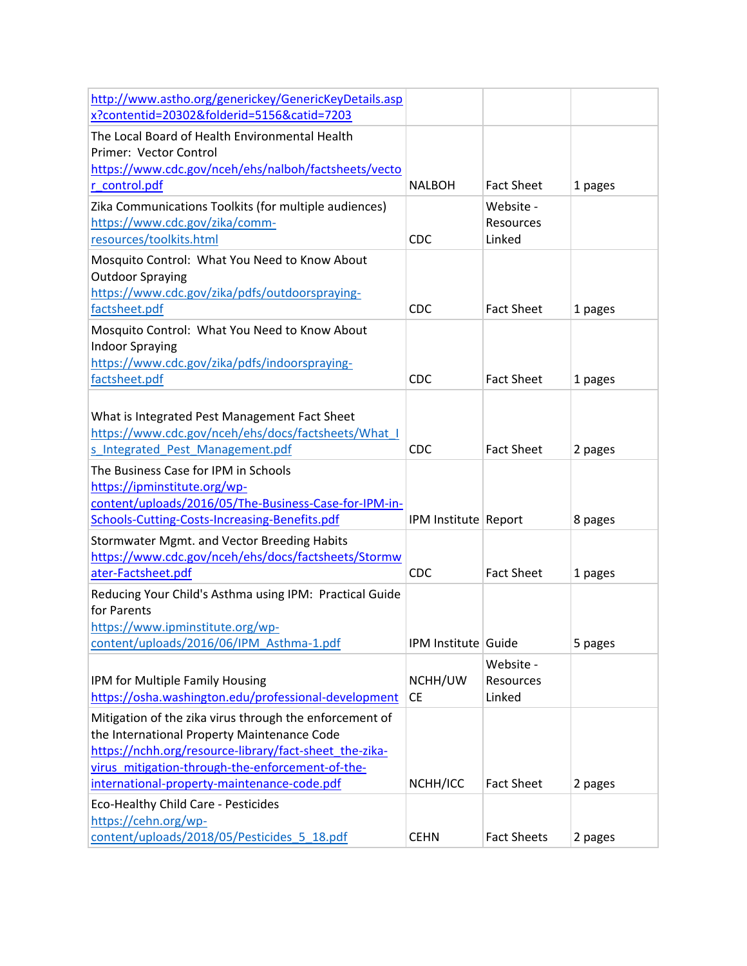| http://www.astho.org/generickey/GenericKeyDetails.asp                                                                                    |                      |                    |         |
|------------------------------------------------------------------------------------------------------------------------------------------|----------------------|--------------------|---------|
| x?contentid=20302&folderid=5156&catid=7203                                                                                               |                      |                    |         |
| The Local Board of Health Environmental Health<br>Primer: Vector Control<br>https://www.cdc.gov/nceh/ehs/nalboh/factsheets/vecto         |                      |                    |         |
| r control.pdf                                                                                                                            | <b>NALBOH</b>        | <b>Fact Sheet</b>  | 1 pages |
| Zika Communications Toolkits (for multiple audiences)                                                                                    |                      | Website -          |         |
| https://www.cdc.gov/zika/comm-                                                                                                           |                      | Resources          |         |
| resources/toolkits.html                                                                                                                  | <b>CDC</b>           | Linked             |         |
| Mosquito Control: What You Need to Know About<br><b>Outdoor Spraying</b>                                                                 |                      |                    |         |
| https://www.cdc.gov/zika/pdfs/outdoorspraying-                                                                                           |                      |                    |         |
| factsheet.pdf                                                                                                                            | <b>CDC</b>           | <b>Fact Sheet</b>  | 1 pages |
| Mosquito Control: What You Need to Know About                                                                                            |                      |                    |         |
| <b>Indoor Spraying</b>                                                                                                                   |                      |                    |         |
| https://www.cdc.gov/zika/pdfs/indoorspraying-                                                                                            | <b>CDC</b>           | <b>Fact Sheet</b>  |         |
| factsheet.pdf                                                                                                                            |                      |                    | 1 pages |
| What is Integrated Pest Management Fact Sheet<br>https://www.cdc.gov/nceh/ehs/docs/factsheets/What I<br>s_Integrated_Pest_Management.pdf | <b>CDC</b>           | <b>Fact Sheet</b>  | 2 pages |
| The Business Case for IPM in Schools                                                                                                     |                      |                    |         |
| https://ipminstitute.org/wp-                                                                                                             |                      |                    |         |
| content/uploads/2016/05/The-Business-Case-for-IPM-in-                                                                                    |                      |                    |         |
| Schools-Cutting-Costs-Increasing-Benefits.pdf                                                                                            | IPM Institute Report |                    | 8 pages |
| Stormwater Mgmt. and Vector Breeding Habits                                                                                              |                      |                    |         |
| https://www.cdc.gov/nceh/ehs/docs/factsheets/Stormw                                                                                      |                      |                    |         |
| ater-Factsheet.pdf                                                                                                                       | <b>CDC</b>           | <b>Fact Sheet</b>  | 1 pages |
| Reducing Your Child's Asthma using IPM: Practical Guide<br>for Parents                                                                   |                      |                    |         |
| https://www.ipminstitute.org/wp-                                                                                                         |                      |                    |         |
| content/uploads/2016/06/IPM Asthma-1.pdf                                                                                                 | IPM Institute Guide  |                    | 5 pages |
|                                                                                                                                          |                      | Website -          |         |
| IPM for Multiple Family Housing                                                                                                          | NCHH/UW              | Resources          |         |
| https://osha.washington.edu/professional-development                                                                                     | <b>CE</b>            | Linked             |         |
|                                                                                                                                          |                      |                    |         |
| Mitigation of the zika virus through the enforcement of                                                                                  |                      |                    |         |
| the International Property Maintenance Code<br>https://nchh.org/resource-library/fact-sheet_the-zika-                                    |                      |                    |         |
| virus mitigation-through-the-enforcement-of-the-                                                                                         |                      |                    |         |
| international-property-maintenance-code.pdf                                                                                              | NCHH/ICC             | <b>Fact Sheet</b>  | 2 pages |
|                                                                                                                                          |                      |                    |         |
| Eco-Healthy Child Care - Pesticides<br>https://cehn.org/wp-                                                                              |                      |                    |         |
| content/uploads/2018/05/Pesticides 5 18.pdf                                                                                              | <b>CEHN</b>          | <b>Fact Sheets</b> | 2 pages |
|                                                                                                                                          |                      |                    |         |